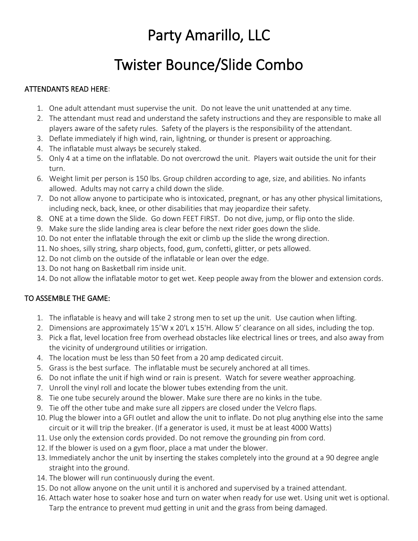# Party Amarillo, LLC

# Twister Bounce/Slide Combo

## ATTENDANTS READ HERE:

- 1. One adult attendant must supervise the unit. Do not leave the unit unattended at any time.
- 2. The attendant must read and understand the safety instructions and they are responsible to make all players aware of the safety rules. Safety of the players is the responsibility of the attendant.
- 3. Deflate immediately if high wind, rain, lightning, or thunder is present or approaching.
- 4. The inflatable must always be securely staked.
- 5. Only 4 at a time on the inflatable. Do not overcrowd the unit. Players wait outside the unit for their turn.
- 6. Weight limit per person is 150 lbs. Group children according to age, size, and abilities. No infants allowed. Adults may not carry a child down the slide.
- 7. Do not allow anyone to participate who is intoxicated, pregnant, or has any other physical limitations, including neck, back, knee, or other disabilities that may jeopardize their safety.
- 8. ONE at a time down the Slide. Go down FEET FIRST. Do not dive, jump, or flip onto the slide.
- 9. Make sure the slide landing area is clear before the next rider goes down the slide.
- 10. Do not enter the inflatable through the exit or climb up the slide the wrong direction.
- 11. No shoes, silly string, sharp objects, food, gum, confetti, glitter, or pets allowed.
- 12. Do not climb on the outside of the inflatable or lean over the edge.
- 13. Do not hang on Basketball rim inside unit.
- 14. Do not allow the inflatable motor to get wet. Keep people away from the blower and extension cords.

### TO ASSEMBLE THE GAME:

- 1. The inflatable is heavy and will take 2 strong men to set up the unit. Use caution when lifting.
- 2. Dimensions are approximately 15'W x 20'L x 15'H. Allow 5' clearance on all sides, including the top.
- 3. Pick a flat, level location free from overhead obstacles like electrical lines or trees, and also away from the vicinity of underground utilities or irrigation.
- 4. The location must be less than 50 feet from a 20 amp dedicated circuit.
- 5. Grass is the best surface. The inflatable must be securely anchored at all times.
- 6. Do not inflate the unit if high wind or rain is present. Watch for severe weather approaching.
- 7. Unroll the vinyl roll and locate the blower tubes extending from the unit.
- 8. Tie one tube securely around the blower. Make sure there are no kinks in the tube.
- 9. Tie off the other tube and make sure all zippers are closed under the Velcro flaps.
- 10. Plug the blower into a GFI outlet and allow the unit to inflate. Do not plug anything else into the same circuit or it will trip the breaker. (If a generator is used, it must be at least 4000 Watts)
- 11. Use only the extension cords provided. Do not remove the grounding pin from cord.
- 12. If the blower is used on a gym floor, place a mat under the blower.
- 13. Immediately anchor the unit by inserting the stakes completely into the ground at a 90 degree angle straight into the ground.
- 14. The blower will run continuously during the event.
- 15. Do not allow anyone on the unit until it is anchored and supervised by a trained attendant.
- 16. Attach water hose to soaker hose and turn on water when ready for use wet. Using unit wet is optional. Tarp the entrance to prevent mud getting in unit and the grass from being damaged.